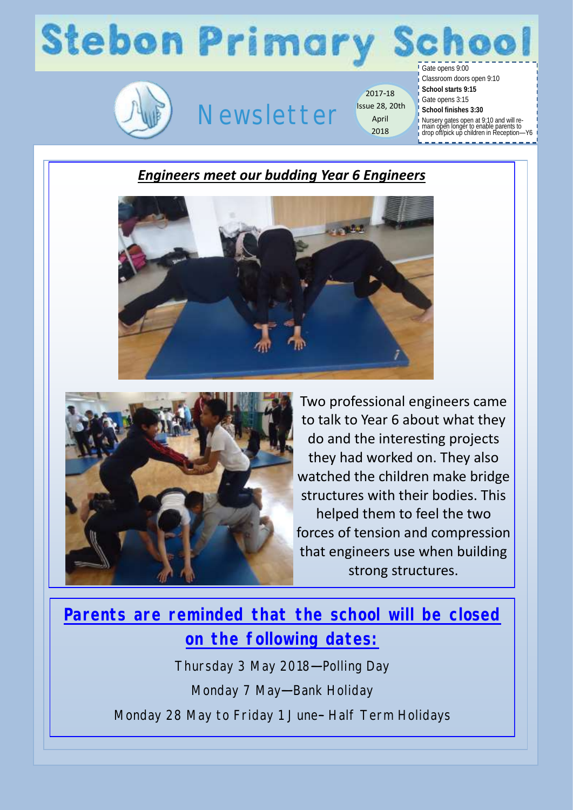### **Stebon Primary** hool



## Newsletter

2017-18 Issue 28, 20th April 2018

Gate opens 9:00 Classroom doors open 9:10

- **School starts 9:15**
- Gate opens 3:15 **School finishes 3:30**
	-
- Nursery gates open at 9:10 and will re-main open longer to enable parents to drop off/pick up children in Reception—Y6
- 

#### *Engineers meet our budding Year 6 Engineers*





Two professional engineers came to talk to Year 6 about what they do and the interesting projects they had worked on. They also watched the children make bridge structures with their bodies. This helped them to feel the two forces of tension and compression that engineers use when building strong structures.

#### **Parents are reminded that the school will be closed on the following dates:**

Thursday 3 May 2018—Polling Day Monday 7 May—Bank Holiday Monday 28 May to Friday 1 June– Half Term Holidays